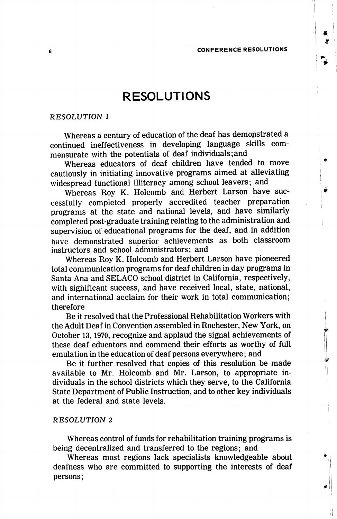# **RESOLUTIONS**

# RESOLUTION I

Whereas a century of education of the deaf has demonstrated a continued ineffectiveness in developing language skills com mensurate with the potentials of deaf individuals;and

Whereas educators of deaf children have tended to move cautiously in initiating innovative programs aimed at alleviating widespread functional illiteracy among school leavers; and

Whereas Roy K. Holcomb and Herbert Larson have suc cessfully completed properly accredited teacher preparation programs at the state and national levels, and have similarly completed post-graduate training relating to the administration and supervision of educational programs for the deaf, and in addition have demonstrated superior achievements as both classroom instructors and school administrators; and

Whereas Roy K. Holcomb and Herbert Larson have pioneered total communication programs for deaf children in day programs in Santa Ana and SELACO school district in California, respectively, with significant success, and have received local, state, national, and international acclaim for their work in total communication; therefore

Be it resolved that the Professional Rehabilitation Workers with the Adult Deaf in Convention assembled in Rochester, New York, on October 13,1970, recognize and applaud the signal achievements of these deaf educators and commend their efforts as worthy of full emulation in the education of deaf persons everywhere; and

Be it further resolved that copies of this resolution be made available to Mr. Holcomb and Mr. Larson, to appropriate in dividuals in the school districts which they serve, to the California State Department of Public Instruction, and to other key individuals at the federal and state levels.

## RESOLUTION 2

Whereas control of funds for rehabilitation training programs is being decentralized and transferred to the regions; and

Whereas most regions lack specialists knowledgeable about deafness who are committed to supporting the interests of deaf persons;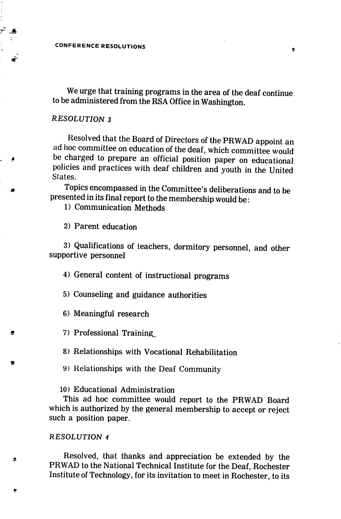CONFERENCE RESOLUTIONS

We urge that training programs in the area of the deaf continue to be administered from the RSA Office in Washington.

## RESOLUTION 3

Resolved that the Board of Directors of the PRWAD appoint an ad hoc committee on education of the deaf, which committee would be charged to prepare an official position paper on educational policies and practices with deaf children and youth in the United Slates.

Topics encompassed in the Committee's deliberations and to be presented in its final report to the membership would be:

1) Communication Methods

2) Parent education

3) Qualifications of teachers, dormitory personnel, and other supportive personnel

4) General content of instructional programs

5) Counseling and guidance authorities

6) Meaningful research

7) Professional Training,

8) Relationships with Vocational Rehabilitation

9) Relationships with the Deaf Community

10) Educational Administration

This ad hoc committee would report to the PRWAD Board which is authorized by the general membership to accept or reject such a position paper.

## RESOLUTION 4

Æ,

 $\bullet$ 

鴌

Resolved, that thanks and appreciation be extended by the PRWAD to the National Technical Institute for the Deaf, Rochester Institute of Technology, for its invitation to meet in Rochester, to its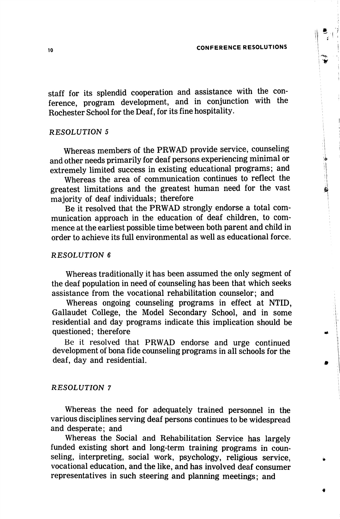#### CONFERENCE RESOLUTIONS

staff for its splendid cooperation and assistance with the con ference, program development, and in conjunction with the Rochester School for the Deaf, for its fine hospitality.

#### RESOLUTION 5

Whereas members of the PRWAD provide service, counseling and other needs primarily for deaf persons experiencing minimal or extremely limited success in existing educational programs; and

Whereas the area of communication continues to reflect the greatest limitations and the greatest human need for the vast majority of deaf individuals; therefore

Be it resolved that the PRWAD strongly endorse a total com munication approach in the education of deaf children, to com mence at the earliest possible time between both parent and child in order to achieve its full environmental as well as educational force.

#### RESOLUTION 6

Whereas traditionally it has been assumed the only segment of the deaf population in need of counseling has been that which seeks assistance from the vocational rehabilitation counselor; and

Whereas ongoing counseling programs in effect at NTID, Gallaudet College, the Model Secondary School, and in some residential and day programs indicate this implication should be questioned; therefore

Be it resolved that PRWAD endorse and urge continued development of bona fide counseling programs in all schools for the deaf, day and residential.

### RESOLUTION 7

Whereas the need for adequately trained personnel in the various disciplines serving deaf persons continues to be widespread and desperate; and

Whereas the Social and Rehabilitation Service has largely funded existing short and long-term training programs in coun seling, interpreting, social work, psychology, religious service, vocational education, and the like, and has involved deaf consumer representatives in such steering and planning meetings; and